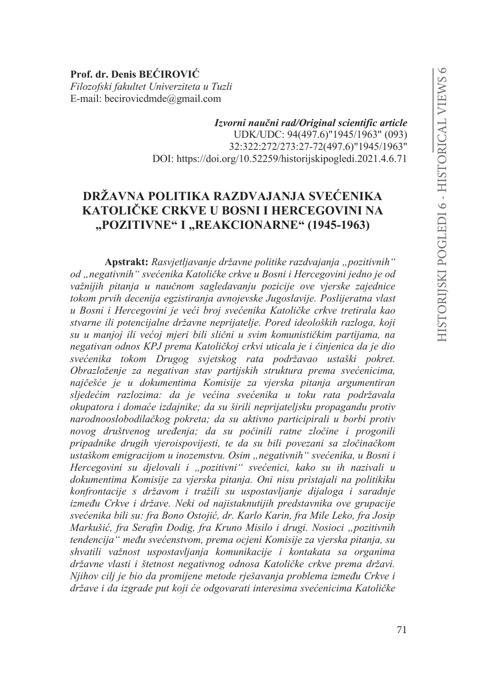Prof. dr. Denis BEĆIROVIĆ Filozofski fakultet Univerziteta u Tuzli E-mail: becirovicdmde@gmail.com

> Izvorni naučni rad/Original scientific article UDK/UDC: 94(497.6)"1945/1963" (093) 32:322:272/273:27-72(497.6)"1945/1963" DOI: https://doi.org/10.52259/historijskipogledi.2021.4.6.71

# DRŽAVNA POLITIKA RAZDVAJANJA SVEĆENIKA KATOLIČKE CRKVE U BOSNI I HERCEGOVINI NA "POZITIVNE" I "REAKCIONARNE" (1945-1963)

Apstrakt: Rasvjetljavanje državne politike razdvajanja "pozitivnih" od "negativnih" svećenika Katoličke crkve u Bosni i Hercegovini jedno je od važnijih pitanja u naučnom sagledavanju pozicije ove vjerske zajednice tokom prvih decenija egzistiranja avnojevske Jugoslavije. Poslijeratna vlast u Bosni i Hercegovini je veći broj svećenika Katoličke crkve tretirala kao stvarne ili potencijalne državne neprijatelje. Pored ideoloških razloga, koji su u manjoj ili većoj mjeri bili slični u svim komunističkim partijama, na negativan odnos KPJ prema Katoličkoj crkvi uticala je i činjenica da je dio svećenika tokom Drugog svjetskog rata podržavao ustaški pokret. Obrazloženje za negativan stav partijskih struktura prema svećenicima, najčešće je u dokumentima Komisije za vjerska pitanja argumentiran sljedećim razlozima: da je većina svećenika u toku rata podržavala okupatora i domaće izdajnike; da su širili neprijateljsku propagandu protiv narodnooslobodilačkog pokreta; da su aktivno participirali u borbi protiv novog društvenog uređenja; da su počinili ratne zločine i progonili pripadnike drugih vjeroispovijesti, te da su bili povezani sa zločinačkom ustaškom emigracijom u inozemstvu. Osim "negativnih" svećenika, u Bosni i Hercegovini su djelovali i "pozitivni" svećenici, kako su ih nazivali u dokumentima Komisije za vjerska pitanja. Oni nisu pristajali na politikiku konfrontacije s državom i tražili su uspostavljanje dijaloga i saradnje između Crkve i države. Neki od najistaknutijih predstavnika ove grupacije svećenika bili su: fra Bono Ostojić, dr. Karlo Karin, fra Mile Leko, fra Josip Markušić, fra Serafin Dodig, fra Kruno Misilo i drugi, Nosioci "pozitivnih tendencija" među svećenstvom, prema ocjeni Komisije za vjerska pitanja, su shvatili važnost uspostavljanja komunikacije i kontakata sa organima državne vlasti i štetnost negativnog odnosa Katoličke crkve prema državi. Njihov cilj je bio da promijene metode rješavanja problema između Crkve i države i da izgrade put koji će odgovarati interesima svećenicima Katoličke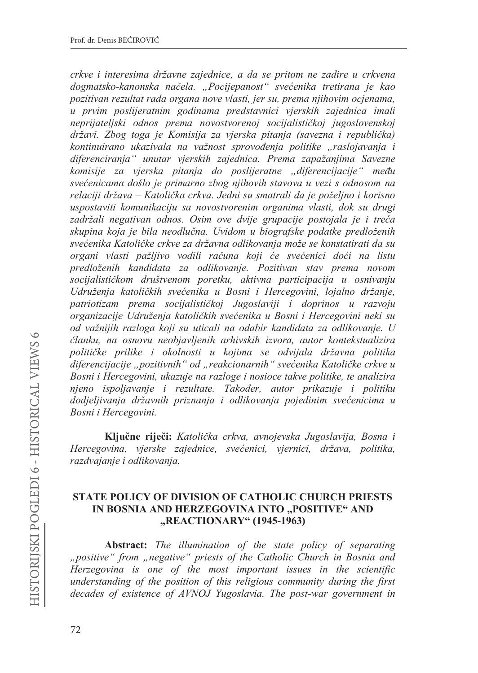*Fullaerigie i* interesima državne zajednice, a da se pritom ne zadire u crkvena *dogmatsko-kanonska načela.* "Pocijepanost" svećenika tretirana je kao *pozitivan rezultat rada organa nove vlasti, jer su, prema njihovim ocjenama, u prvim poslijeratnim godinama predstavnici vjerskih zajednica imali*  neprijateljski odnos prema novostvorenoj socijalističkoj jugoslovenskoj državi. Zbog toga je Komisija za vjerska pitanja (savezna i republička) *NRQWLQXLUDQR XND]LYDOD QD YDåQRVW VSURYRÿHQMD SROLWLNH Äraslojavanja i diferenciranja*<sup>*"*</sup> *unutar vierskih zajednica. Prema zapažanjima Savezne komisije za vjerska pitanja do poslijeratne "diferencijacije" među VYHüHQLFDPDGRãORMHSULPDUQR ]ERJQMLKRYLK VWDYRYDXYH]L VRGQRVRP na relaciji država – Katolička crkva. Jedni su smatrali da je poželjno i korisno uspostaviti komunikaciju sa novostvorenim organima vlasti, dok su drugi*  zadržali negativan odnos. Osim ove dvije grupacije postojala je i treća *skupina koja je bila neodlučna. Uvidom u biografske podatke predloženih* svećenika Katoličke crkve za državna odlikovanja može se konstatirati da su *RUJDQL YODVWL SDåOMLYR YRGLOL UDþXQD NRML üH VYHüHQLFL GRüL QD OLVWX predloženih kandidata za odlikovanje. Pozitivan stav prema novom* socijalističkom društvenom poretku, aktivna participacija u osnivanju Udruženja katoličkih svećenika u Bosni i Hercegovini, lojalno držanje, *SDWULRWL]DP SUHPD VRFLMDOLVWLþNRM -XJRslaviji i doprinos u razvoju organizacije Udruženja katoličkih svećenika u Bosni i Hercegovini neki su RG YDåQLMLK UD]ORJD NRML VX XWLFDOL QD RGDELU NDQGLGDWD ]D RGOLNRYDQMH U*   $\check{c}$ lanku, na osnovu neobjavljenih arhivskih izvora, autor kontekstualizira  $p$ olitičke prilike i okolnosti u kojima se odvijala državna politika *diferencijacije Äpozitivnih³ od Äreakcionarnih³ sveüHQLND.DWROLþNH crkve u Bosni i Hercegovini, ukazuje na razloge i nosioce takve politike, te analizira njeno ispoljavanje i rezultate*. Također, autor prikazuje i politiku *GRGMHOMLYDQMD GUåDYQLK SUL]QDQMD L RGOLNRYDQMD SRMHGLQLP VYHüHQLFLPD u Bosni i Hercegovini.* 

Ključne riječi: Katolička crkva, avnojevska Jugoslavija, Bosna i *Hercegovina, vjerske zajednice, svećenici, vjernici, država, politika, razdvajanje i odlikovanja.* 

### **67 STATE POLICY OF DIVISION OF CATHOLIC CHURCH PRIESTS** IN BOSNIA AND HERZEGOVINA INTO "POSITIVE" AND **,,REACTIONARY**" (1945-1963)

**Abstract:** The illumination of the state policy of separating *Äpositive³ from Änegative³ priests of the Catholic Church in Bosnia and Herzegovina is one of the most important issues in the scientific understanding of the position of this religious community during the first decades of existence of AVNOJ Yugoslavia. The post-war government in*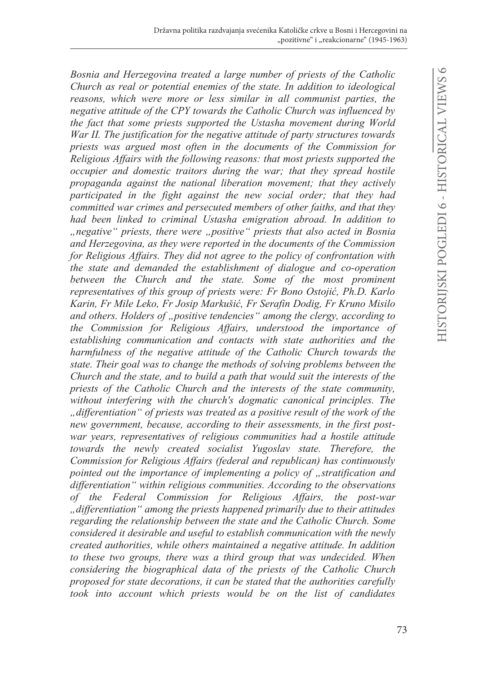*Bosnia and Herzegovina treated a large number of priests of the Catholic Church as real or potential enemies of the state. In addition to ideological reasons, which were more or less similar in all communist parties, the negative attitude of the CPY towards the Catholic Church was influenced by the fact that some priests supported the Ustasha movement during World War II. The justification for the negative attitude of party structures towards priests was argued most often in the documents of the Commission for Religious Affairs with the following reasons: that most priests supported the occupier and domestic traitors during the war; that they spread hostile propaganda against the national liberation movement; that they actively participated in the fight against the new social order; that they had committed war crimes and persecuted members of other faiths, and that they had been linked to criminal Ustasha emigration abroad. In addition to Änegative³ priests, there were Äpositive³ priests that also acted in Bosnia and Herzegovina, as they were reported in the documents of the Commission for Religious Affairs. They did not agree to the policy of confrontation with the state and demanded the establishment of dialogue and co-operation between the Church and the state. Some of the most prominent representatives of this group of priests were: Fr Bono Ostojić, Ph.D. Karlo* Karin, Fr Mile Leko, Fr Josip Markušić, Fr Serafin Dodig, Fr Kruno Misilo *and others. Holders of Äpositive tendencies³ among the clergy, according to the Commission for Religious Affairs, understood the importance of establishing communication and contacts with state authorities and the harmfulness of the negative attitude of the Catholic Church towards the state. Their goal was to change the methods of solving problems between the Church and the state, and to build a path that would suit the interests of the priests of the Catholic Church and the interests of the state community, without interfering with the church's dogmatic canonical principles. The Ädifferentiation³ of priests was treated as a positive result of the work of the new government, because, according to their assessments, in the first postwar years, representatives of religious communities had a hostile attitude towards the newly created socialist Yugoslav state. Therefore, the Commission for Religious Affairs (federal and republican) has continuously pointed out the importance of implementing a policy of* , *stratification and differentiation³ within religious communities. According to the observations of the Federal Commission for Religious Affairs, the post-war Ädifferentiation³ among the priests happened primarily due to their attitudes regarding the relationship between the state and the Catholic Church. Some considered it desirable and useful to establish communication with the newly created authorities, while others maintained a negative attitude. In addition to these two groups, there was a third group that was undecided. When considering the biographical data of the priests of the Catholic Church proposed for state decorations, it can be stated that the authorities carefully took into account which priests would be on the list of candidates*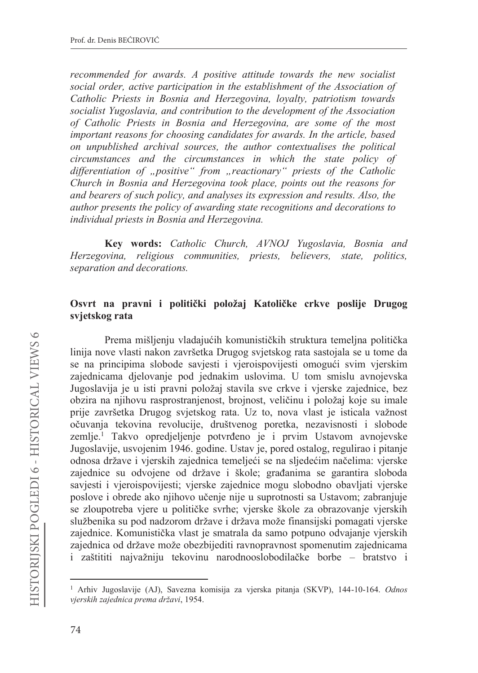recommended for awards. A positive attitude towards the new socialist social order, active participation in the establishment of the Association of Catholic Priests in Bosnia and Herzegovina, loyalty, patriotism towards socialist Yugoslavia, and contribution to the development of the Association of Catholic Priests in Bosnia and Herzegovina, are some of the most important reasons for choosing candidates for awards. In the article, based on unpublished archival sources, the author contextualises the political circumstances and the circumstances in which the state policy of differentiation of "positive" from "reactionary" priests of the Catholic Church in Bosnia and Herzegovina took place, points out the reasons for and bearers of such policy, and analyses its expression and results. Also, the author presents the policy of awarding state recognitions and decorations to individual priests in Bosnia and Herzegovina.

Key words: Catholic Church, AVNOJ Yugoslavia, Bosnia and Herzegovina, religious communities, priests, believers, state, politics, separation and decorations.

### Osvrt na pravni i politički položaj Katoličke crkve poslije Drugog svietskog rata

Prema mišljenju vladajućih komunističkih struktura temeljna politička linija nove vlasti nakon završetka Drugog svjetskog rata sastojala se u tome da se na principima slobode savjesti i vjeroispovijesti omogući svim vjerskim zajednicama djelovanje pod jednakim uslovima. U tom smislu avnojevska Jugoslavija je u isti pravni položaj stavila sve crkve i vjerske zajednice, bez obzira na njihovu rasprostranjenost, brojnost, veličinu i položaj koje su imale prije završetka Drugog svjetskog rata. Uz to, nova vlast je isticala važnost očuvanja tekovina revolucije, društvenog poretka, nezavisnosti i slobode zemlje.<sup>1</sup> Takvo opredjeljenje potvrđeno je i prvim Ustavom avnojevske Jugoslavije, usvojenim 1946. godine. Ustav je, pored ostalog, regulirao i pitanje odnosa države i vjerskih zajednica temeljeći se na sljedećim načelima: vjerske zajednice su odvojene od države i škole; građanima se garantira sloboda savjesti i vjeroispovijesti; vjerske zajednice mogu slobodno obavljati vjerske poslove i obrede ako njihovo učenje nije u suprotnosti sa Ustavom; zabranjuje se zloupotreba vjere u političke svrhe; vjerske škole za obrazovanje vjerskih službenika su pod nadzorom države i država može finansijski pomagati vjerske zajednice. Komunistička vlast je smatrala da samo potpuno odvajanje vjerskih zajednica od države može obezbijediti ravnopravnost spomenutim zajednicama i zaštititi najvažniju tekovinu narodnooslobodilačke borbe – bratstvo i

<sup>&</sup>lt;sup>1</sup> Arhiv Jugoslavije (AJ), Savezna komisija za vjerska pitanja (SKVP), 144-10-164. Odnos vjerskih zajednica prema državi, 1954.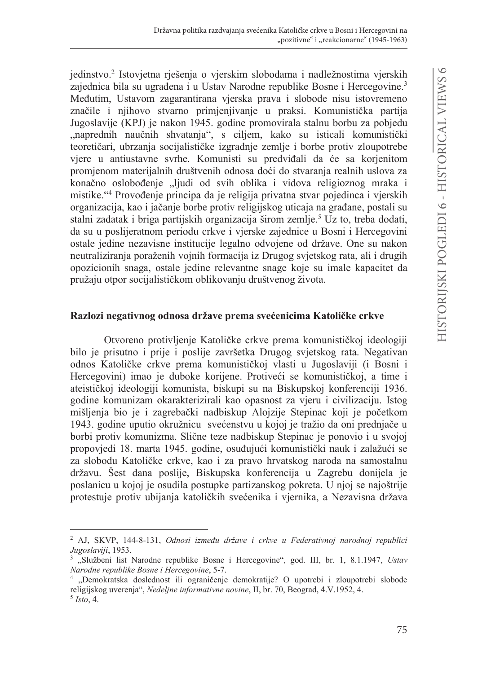jedinstvo.<sup>2</sup> Istovjetna rješenja o vjerskim slobodama i nadležnostima vjerskih zajednica bila su ugrađena i u Ustav Narodne republike Bosne i Hercegovine.<sup>3</sup> Međutim, Ustavom zagarantirana vjerska prava i slobode nisu istovremeno značile i njihovo stvarno primjenjivanje u praksi. Komunistička partija Jugoslavije (KPJ) je nakon 1945. godine promovirala stalnu borbu za pobjedu "naprednih naučnih shvatanja", s ciljem, kako su isticali komunistički teoretičari, ubrzanja socijalističke izgradnje zemlje i borbe protiv zloupotrebe viere u antiustavne svrhe. Komunisti su predviđali da će sa korienitom promjenom materijalnih društvenih odnosa doći do stvaranja realnih uslova za konačno oslobođenje "ljudi od svih oblika i vidova religioznog mraka i mistike."4 Provođenje principa da je religija privatna stvar pojedinca i vjerskih organizacija, kao i jačanje borbe protiv religijskog uticaja na građane, postali su stalni zadatak i briga partijskih organizacija širom zemlje.<sup>5</sup> Uz to, treba dodati, da su u poslijeratnom periodu crkve i vjerske zajednice u Bosni i Hercegovini ostale jedine nezavisne institucije legalno odvojene od države. One su nakon neutraliziranja poraženih vojnih formacija iz Drugog svjetskog rata, ali i drugih opozicionih snaga, ostale jedine relevantne snage koje su imale kapacitet da pružaju otpor socijalističkom oblikovanju društvenog života.

#### Razlozi negativnog odnosa države prema svećenicima Katoličke crkve

Otvoreno protivljenje Katoličke crkve prema komunističkoj ideologiji bilo je prisutno i prije i poslije završetka Drugog svjetskog rata. Negativan odnos Katoličke crkve prema komunističkoj vlasti u Jugoslaviji (i Bosni i Hercegovini) imao je duboke korijene. Protiveći se komunističkoj, a time i ateističkoj ideologiji komunista, biskupi su na Biskupskoj konferenciji 1936. godine komunizam okarakterizirali kao opasnost za vjeru i civilizaciju. Istog mišljenja bio je i zagrebački nadbiskup Alojzije Stepinac koji je početkom 1943. godine uputio okružnicu svećenstvu u kojoj je tražio da oni prednjače u borbi protiv komunizma. Slične teze nadbiskup Stepinac je ponovio i u svojoj propovjedi 18. marta 1945. godine, osuđujući komunistički nauk i zalažući se za slobodu Katoličke crkve, kao i za pravo hrvatskog naroda na samostalnu državu. Šest dana poslije, Biskupska konferencija u Zagrebu donijela je poslanicu u kojoj je osudila postupke partizanskog pokreta. U njoj se najoštrije protestuje protiv ubijanja katoličkih svećenika i vjernika, a Nezavisna država

<sup>&</sup>lt;sup>2</sup> AJ, SKVP, 144-8-131, Odnosi između države i crkve u Federativnoj narodnoj republici Jugoslaviji, 1953.

<sup>&</sup>lt;sup>3</sup> "Službeni list Narodne republike Bosne i Hercegovine", god. III, br. 1, 8.1.1947, Ustav Narodne republike Bosne i Hercegovine, 5-7.

<sup>4 &</sup>quot;Demokratska doslednost ili ograničenje demokratije? O upotrebi i zloupotrebi slobode religijskog uverenja", Nedeljne informativne novine, II, br. 70, Beograd, 4.V.1952, 4.  $5$  Isto, 4.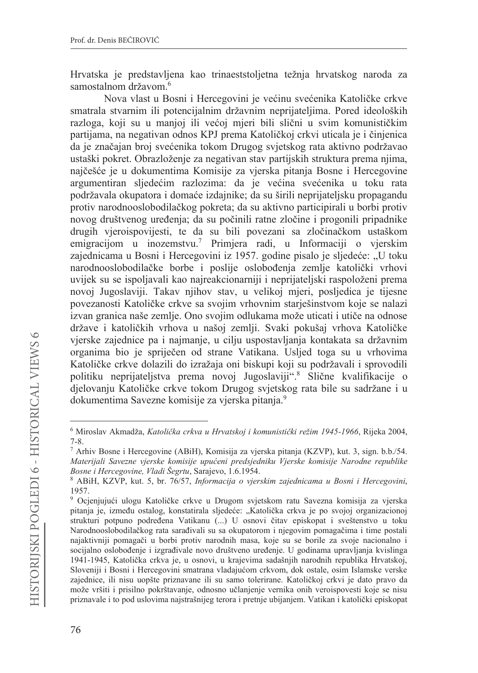Hrvatska je predstavljena kao trinaeststoljetna težnja hrvatskog naroda za samostalnom državom.<sup>6</sup>

Nova vlast u Bosni i Hercegovini je većinu svećenika Katoličke crkve smatrala stvarnim ili potencijalnim državnim neprijateljima. Pored ideoloških razloga, koji su u manjoj ili većoj mjeri bili slični u svim komunističkim partijama, na negativan odnos KPJ prema Katoličkoj crkvi uticala je i činjenica da je značajan broj svećenika tokom Drugog svjetskog rata aktivno podržavao ustaški pokret. Obrazloženie za negativan stav partijskih struktura prema nijma, najčešće je u dokumentima Komisije za vjerska pitanja Bosne i Hercegovine argumentiran sljedećim razlozima: da je većina svećenika u toku rata podržavala okupatora i domaće izdajnike; da su širili neprijateljsku propagandu protiv narodnooslobodilačkog pokreta; da su aktivno participirali u borbi protiv novog društvenog uređenja; da su počinili ratne zločine i progonili pripadnike drugih vjeroispovijesti, te da su bili povezani sa zločinačkom ustaškom emigracijom u inozemstvu.<sup>7</sup> Primjera radi, u Informaciji o vjerskim zajednicama u Bosni i Hercegovini iz 1957. godine pisalo je sljedeće: "U toku narodnooslobodilačke borbe i poslije oslobođenja zemlje katolički vrhovi uvijek su se ispoljavali kao najreakcionarniji i neprijateljski raspoloženi prema novoj Jugoslaviji. Takav njihov stav, u velikoj mjeri, posljedica je tijesne povezanosti Katoličke crkve sa svojim vrhovnim starješinstvom koje se nalazi izvan granica naše zemlje. Ono svojim odlukama može uticati i utiče na odnose države i katoličkih vrhova u našoj zemlji. Svaki pokušaj vrhova Katoličke vjerske zajednice pa i najmanje, u cilju uspostavljanja kontakata sa državnim organima bio je spriječen od strane Vatikana. Usljed toga su u vrhovima Katoličke crkve dolazili do izražaja oni biskupi koji su podržavali i sprovodili politiku neprijateljstva prema novoj Jugoslaviji".8 Slične kvalifikacije o djelovanju Katoličke crkve tokom Drugog svjetskog rata bile su sadržane i u dokumentima Savezne komisije za vjerska pitanja.<sup>9</sup>

<sup>&</sup>lt;sup>6</sup> Miroslav Akmadža, Katolička crkva u Hrvatskoj i komunistički režim 1945-1966, Rijeka 2004,  $7 - 8.$ 

<sup>7</sup> Arhiv Bosne i Hercegovine (ABiH), Komisija za vjerska pitanja (KZVP), kut. 3, sign. b.b./54. Materijali Savezne vjerske komisije upućeni predsjedniku Vjerske komisije Narodne republike Bosne i Hercegovine, Vladi Šegrtu, Sarajevo, 1.6.1954.

<sup>&</sup>lt;sup>8</sup> ABiH, KZVP, kut. 5, br. 76/57, *Informacija o vjerskim zajednicama u Bosni i Hercegovini*, 1957.

<sup>&</sup>lt;sup>9</sup> Ocjenjujući ulogu Katoličke crkve u Drugom svjetskom ratu Savezna komisija za vjerska pitanja je, između ostalog, konstatirala sljedeće: "Katolička crkva je po svojoj organizacionoj strukturi potpuno podređena Vatikanu (...) U osnovi čitav episkopat i sveštenstvo u toku Narodnooslobodilačkog rata sarađivali su sa okupatorom i njegovim pomagačima i time postali najaktivniji pomagači u borbi protiv narodnih masa, koje su se borile za svoje nacionalno i socijalno oslobođenje i izgrađivale novo društveno uređenje. U godinama upravljanja kvislinga 1941-1945, Katolička crkva je, u osnovi, u krajevima sadašnjih narodnih republika Hrvatskoj, Sloveniji i Bosni i Hercegovini smatrana vladajućom crkvom, dok ostale, osim Islamske verske zajednice, ili nisu uopšte priznavane ili su samo tolerirane. Katoličkoj crkvi je dato pravo da može vršiti i prisilno pokrštavanje, odnosno učlanjenje vernika onih veroispovesti koje se nisu priznavale i to pod uslovima najstrašnijeg terora i pretnje ubijanjem. Vatikan i katolički episkopat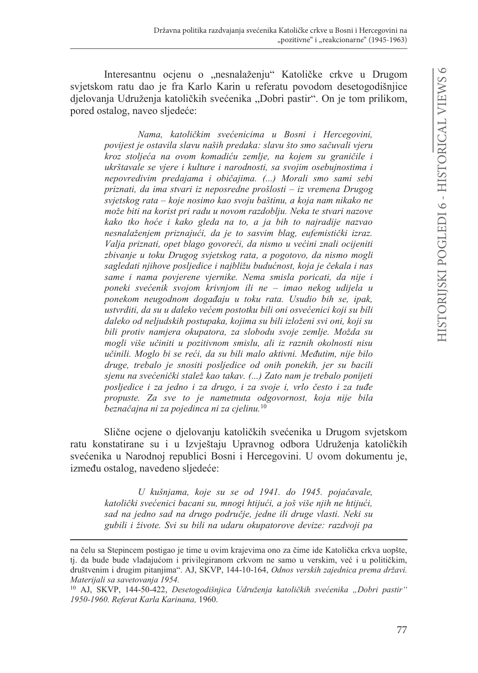Interesantnu ocjenu o "nesnalaženju" Katoličke crkve u Drugom svjetskom ratu dao je fra Karlo Karin u referatu povodom desetogodišnjice djelovanja Udruženja katoličkih svećenika "Dobri pastir". On je tom prilikom, pored ostalog, naveo sljedeće:

Nama, katoličkim svećenicima u Bosni i Hercegovini, povijest je ostavila slavu naših predaka: slavu što smo sačuvali vjeru kroz stoljeća na ovom komadiću zemlje, na kojem su graničile i ukrštavale se vjere i kulture i narodnosti, sa svojim osebujnostima i nepovredivim predajama i običajima. (...) Morali smo sami sebi priznati, da ima stvari iz neposredne prošlosti – iz vremena Drugog svjetskog rata – koje nosimo kao svoju baštinu, a koja nam nikako ne može biti na korist pri radu u novom razdoblju. Neka te stvari nazove kako tko hoće i kako gleda na to, a ja bih to najradije nazvao nesnalaženjem priznajući, da je to sasvim blag, eufemistički izraz, Valja priznati, opet blago govoreći, da nismo u većini znali ocijeniti zbivanje u toku Drugog svjetskog rata, a pogotovo, da nismo mogli sagledati njihove posljedice i najbližu budućnost, koja je čekala i nas same i nama povjerene vjernike. Nema smisla poricati, da nije i poneki svećenik svojom krivnjom ili ne - imao nekog udijela u ponekom neugodnom događaju u toku rata. Usudio bih se, ipak, ustvrditi, da su u daleko većem postotku bili oni osvećenici koji su bili daleko od neljudskih postupaka, kojima su bili izloženi svi oni, koji su bili protiv namjera okupatora, za slobodu svoje zemlje. Možda su mogli više učiniti u pozitivnom smislu, ali iz raznih okolnosti nisu učinili. Moglo bi se reći, da su bili malo aktivni. Međutim, nije bilo druge, trebalo je snositi posljedice od onih ponekih, jer su bacili sjenu na svećenički stalež kao takav. (...) Zato nam je trebalo ponijeti posljedice i za jedno i za drugo, i za svoje i, vrlo često i za tuđe propuste. Za sve to je nametnuta odgovornost, koja nije bila beznačajna ni za pojedinca ni za cjelinu.<sup>10</sup>

Slične ocjene o djelovanju katoličkih svećenika u Drugom svjetskom ratu konstatirane su i u Izvještaju Upravnog odbora Udruženja katoličkih svećenika u Narodnoj republici Bosni i Hercegovini. U ovom dokumentu je, između ostalog, navedeno sljedeće:

U kušnjama, koje su se od 1941. do 1945. pojačavale, katolički svećenici bacani su, mnogi htijući, a još više njih ne htijući, sad na jedno sad na drugo područje, jedne ili druge vlasti. Neki su gubili i živote. Svi su bili na udaru okupatorove devize: razdvoji pa

na čelu sa Stepincem postigao je time u ovim krajevima ono za čime ide Katolička crkva uopšte, tj. da bude bude vladajućom i privilegiranom crkvom ne samo u verskim, već i u političkim, društvenim i drugim pitanjima". AJ, SKVP, 144-10-164, Odnos verskih zajednica prema državi. Materijali sa savetovanja 1954.

<sup>&</sup>lt;sup>10</sup> AJ, SKVP, 144-50-422, Desetogodišnjica Udruženja katoličkih svećenika "Dobri pastir" 1950-1960. Referat Karla Karinana, 1960.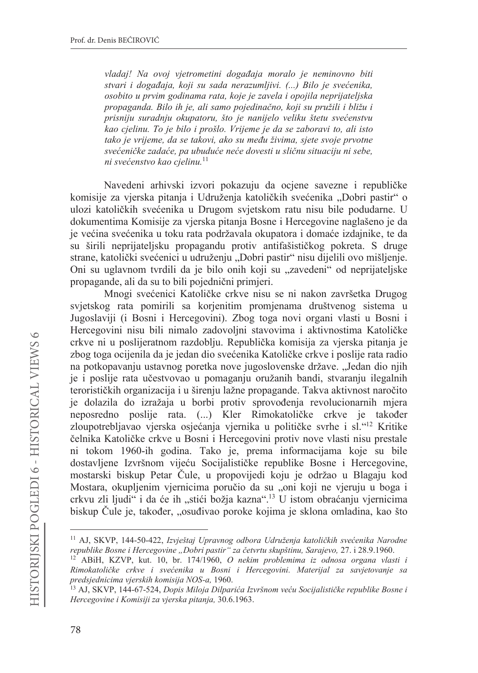vladaj! Na ovoj vjetrometini događaja moralo je neminovno biti stvari i događaja, koji su sada nerazumljivi. (...) Bilo je svećenika, osobito u prvim godinama rata, koje je zavela i opojila neprijateljska propaganda. Bilo ih je, ali samo pojedinačno, koji su pružili i bližu i prisniju suradnju okupatoru, što je nanijelo veliku štetu svećenstvu kao cjelinu. To je bilo i prošlo. Vrijeme je da se zaboravi to, ali isto tako je vrijeme, da se takovi, ako su među živima, sjete svoje prvotne svećeničke zadaće, pa ubuduće neće dovesti u sličnu situaciju ni sebe, ni svećenstvo kao cielinu.<sup>11</sup>

Navedeni arhivski izvori pokazuju da ocjene savezne i republičke komisije za vjerska pitanja i Udruženja katoličkih svećenika "Dobri pastir" o ulozi katoličkih svećenika u Drugom svjetskom ratu nisu bile podudarne. U dokumentima Komisije za vjerska pitanja Bosne i Hercegovine naglašeno je da je većina svećenika u toku rata podržavala okupatora i domaće izdajnike, te da su širili neprijateljsku propagandu protiv antifašističkog pokreta. S druge strane, katolički svećenici u udruženju "Dobri pastir" nisu dijelili ovo mišljenje. Oni su uglavnom tvrdili da je bilo onih koji su "zavedeni" od neprijateljske propagande, ali da su to bili pojednični primjeri.

Mnogi svećenici Katoličke crkve nisu se ni nakon završetka Drugog svjetskog rata pomirili sa korjenitim promjenama društvenog sistema u Jugoslaviji (i Bosni i Hercegovini). Zbog toga novi organi vlasti u Bosni i Hercegovini nisu bili nimalo zadovoljni stavovima i aktivnostima Katoličke crkve ni u poslijeratnom razdoblju. Republička komisija za vjerska pitanja je zbog toga ocijenila da je jedan dio svećenika Katoličke crkve i poslije rata radio na potkopavanju ustavnog poretka nove jugoslovenske države. "Jedan dio njih je i poslije rata učestvovao u pomaganju oružanih bandi, stvaranju ilegalnih terorističkih organizacija i u širenju lažne propagande. Takva aktivnost naročito je dolazila do izražaja u borbi protiv sprovođenja revolucionarnih mjera neposredno poslije rata. (...) Kler Rimokatoličke crkve je također zloupotrebljavao vjerska osjećanja vjernika u političke svrhe i sl."<sup>12</sup> Kritike čelnika Katoličke crkve u Bosni i Hercegovini protiv nove vlasti nisu prestale ni tokom 1960-ih godina. Tako je, prema informacijama koje su bile dostavljene Izvršnom vijeću Socijalističke republike Bosne i Hercegovine, mostarski biskup Petar Čule, u propovijedi koju je održao u Blagaju kod Mostara, okupljenim vjernicima poručio da su "oni koji ne vjeruju u boga i crkvu zli ljudi" i da će ih "stići božja kazna".<sup>13</sup> U istom obraćanju vjernicima biskup Čule je, također, "osuđivao poroke kojima je sklona omladina, kao što

<sup>&</sup>lt;sup>11</sup> AJ, SKVP, 144-50-422, Izvještaj Upravnog odbora Udruženja katoličkih svećenika Narodne republike Bosne i Hercegovine "Dobri pastir" za četvrtu skupštinu, Sarajevo, 27. i 28.9.1960.

<sup>&</sup>lt;sup>12</sup> ABiH, KZVP, kut. 10, br. 174/1960, *O nekim problemima iz odnosa organa vlasti i* Rimokatoličke crkve i svećenika u Bosni i Hercegovini. Materijal za savjetovanje sa predsjednicima vjerskih komisija NOS-a, 1960.

<sup>&</sup>lt;sup>13</sup> AJ, SKVP, 144-67-524, *Dopis Miloja Dilparića Izvršnom veću Socijalističke republike Bosne i* Hercegovine i Komisiji za vjerska pitanja, 30.6.1963.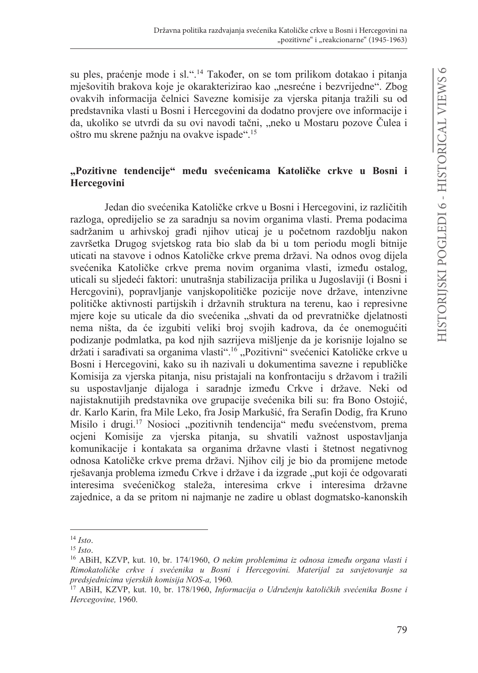su ples, praćenje mode i sl.".<sup>14</sup> Također, on se tom prilikom dotakao i pitanja mješovitih brakova koje je okarakterizirao kao "nesrećne i bezvrijedne". Zbog ovakvih informacija čelnici Savezne komisije za vjerska pitanja tražili su od predstavnika vlasti u Bosni i Hercegovini da dodatno provjere ove informacije i da, ukoliko se utvrdi da su ovi navodi tačni, "neko u Mostaru pozove Čulea i oštro mu skrene pažnju na ovakve ispade".<sup>15</sup>

# "Pozitivne tendencije" među svećenicama Katoličke crkve u Bosni i Hercegovini

Jedan dio svećenika Katoličke crkve u Bosni i Hercegovini, iz različitih razloga, opredijelio se za saradnju sa novim organima vlasti. Prema podacima sadržanim u arhivskoj građi njihov uticaj je u početnom razdoblju nakon završetka Drugog svjetskog rata bio slab da bi u tom periodu mogli bitnije uticati na stavove i odnos Katoličke crkve prema državi. Na odnos ovog dijela svećenika Katoličke crkve prema novim organima vlasti, između ostalog, uticali su sljedeći faktori: unutrašnja stabilizacija prilika u Jugoslaviji (i Bosni i Hercgovini), popravljanje vanjskopolitičke pozicije nove države, intenzivne političke aktivnosti partijskih i državnih struktura na terenu, kao i represivne miere koje su uticale da dio svećenika "shvati da od prevratničke djelatnosti nema ništa, da će izgubiti veliki broj svojih kadrova, da će onemogućiti podizanje podmlatka, pa kod njih sazrijeva mišljenje da je korisnije lojalno se držati i sarađivati sa organima vlasti".<sup>16</sup> "Pozitivni" svećenici Katoličke crkve u Bosni i Hercegovini, kako su ih nazivali u dokumentima savezne i republičke Komisija za vjerska pitanja, nisu pristajali na konfrontaciju s državom i tražili su uspostavljanje dijaloga i saradnje između Crkve i države. Neki od najistaknutijih predstavnika ove grupacije svećenika bili su: fra Bono Ostojić, dr. Karlo Karin, fra Mile Leko, fra Josip Markušić, fra Serafin Dodig, fra Kruno Misilo i drugi.<sup>17</sup> Nosioci "pozitivnih tendencija" među svećenstvom, prema ocjeni Komisije za vjerska pitanja, su shvatili važnost uspostavljanja komunikacije i kontakata sa organima državne vlasti i štetnost negativnog odnosa Katoličke crkve prema državi. Njihov cilj je bio da promijene metode rješavanja problema između Crkve i države i da izgrade "put koji će odgovarati interesima svećeničkog staleža, interesima crkve i interesima državne zajednice, a da se pritom ni najmanje ne zadire u oblast dogmatsko-kanonskih

 $14$  Isto.

 $15$  Isto.

<sup>&</sup>lt;sup>16</sup> ABiH, KZVP, kut. 10, br. 174/1960, *O nekim problemima iz odnosa između organa vlasti i* Rimokatoličke crkve i svećenika u Bosni i Hercegovini. Materijal za savjetovanje sa predsjednicima vjerskih komisija NOS-a, 1960.

<sup>&</sup>lt;sup>17</sup> ABiH, KZVP, kut. 10, br. 178/1960, *Informacija o Udruženju katoličkih svećenika Bosne i* Hercegovine, 1960.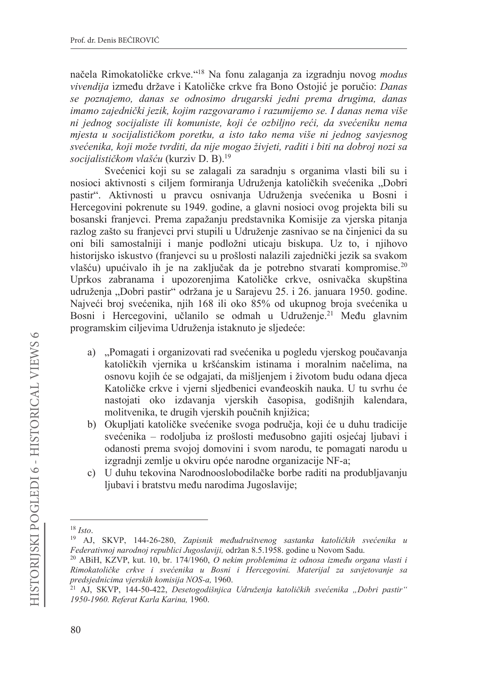načela Rimokatoličke crkve."<sup>18</sup> Na fonu zalaganja za izgradnju novog *modus* vivendija između države i Katoličke crkve fra Bono Ostojić je poručio: Danas se poznajemo, danas se odnosimo drugarski jedni prema drugima, danas imamo zajednički jezik, kojim razgovaramo i razumijemo se. I danas nema više ni jednog socijaliste ili komuniste, koji će ozbiljno reći, da svećeniku nema mjesta u socijalističkom poretku, a isto tako nema više ni jednog savjesnog svećenika, koji može tvrditi, da nije mogao živjeti, raditi i biti na dobroj nozi sa socijalističkom vlašću (kurziv D. B).<sup>19</sup>

Svećenici koji su se zalagali za saradnju s organima vlasti bili su i nosioci aktivnosti s ciljem formiranja Udruženja katoličkih svećenika "Dobri pastir". Aktivnosti u pravcu osnivanja Udruženja svećenika u Bosni i Hercegovini pokrenute su 1949. godine, a glavni nosioci ovog projekta bili su bosanski franjevci. Prema zapažanju predstavnika Komisije za vjerska pitanja razlog zašto su franjevci prvi stupili u Udruženje zasnivao se na činjenici da su oni bili samostalniji i manje podložni uticaju biskupa. Uz to, i njihovo historijsko iskustvo (franjevci su u prošlosti nalazili zajednički jezik sa svakom vlašću) upućivalo ih je na zaključak da je potrebno stvarati kompromise.<sup>20</sup> Uprkos zabranama i upozorenjima Katoličke crkve, osnivačka skupština udruženja "Dobri pastir" održana je u Sarajevu 25. i 26. januara 1950. godine. Najveći broj svećenika, njih 168 ili oko 85% od ukupnog broja svećenika u Bosni i Hercegovini, učlanilo se odmah u Udruženje.<sup>21</sup> Među glavnim programskim ciljevima Udruženja istaknuto je sljedeće:

- a) "Pomagati i organizovati rad svećenika u pogledu vjerskog poučavanja katoličkih vjernika u kršćanskim istinama i moralnim načelima, na osnovu kojih će se odgajati, da mišljenjem i životom budu odana djeca Katoličke crkve i vjerni sljedbenici evanđeoskih nauka. U tu svrhu će nastojati oko izdavanja vjerskih časopisa, godišnjih kalendara, molitvenika, te drugih vjerskih poučnih knjižica;
- b) Okupljati katoličke svećenike svoga područja, koji će u duhu tradicije svećenika – rodoljuba iz prošlosti međusobno gajiti osjećaj ljubavi i odanosti prema svojoj domovini i svom narodu, te pomagati narodu u izgradnji zemlje u okviru opće narodne organizacije NF-a;
- c) U duhu tekovina Narodnooslobodilačke borbe raditi na produbljavanju ljubavi i bratstvu među narodima Jugoslavije;

 $18$  Isto.

<sup>&</sup>lt;sup>19</sup> AJ, SKVP, 144-26-280, Zapisnik međudruštvenog sastanka katoličkih svećenika u Federativnoj narodnoj republici Jugoslaviji, održan 8.5.1958. godine u Novom Sadu.

<sup>&</sup>lt;sup>20</sup> ABiH, KZVP, kut. 10, br. 174/1960, *O nekim problemima iz odnosa između organa vlasti i* Rimokatoličke crkve i svećenika u Bosni i Hercegovini. Materijal za savjetovanje sa predsjednicima vjerskih komisija NOS-a, 1960.

<sup>&</sup>lt;sup>21</sup> AJ, SKVP, 144-50-422, Desetogodišnjica Udruženja katoličkih svećenika "Dobri pastir" 1950-1960. Referat Karla Karina, 1960.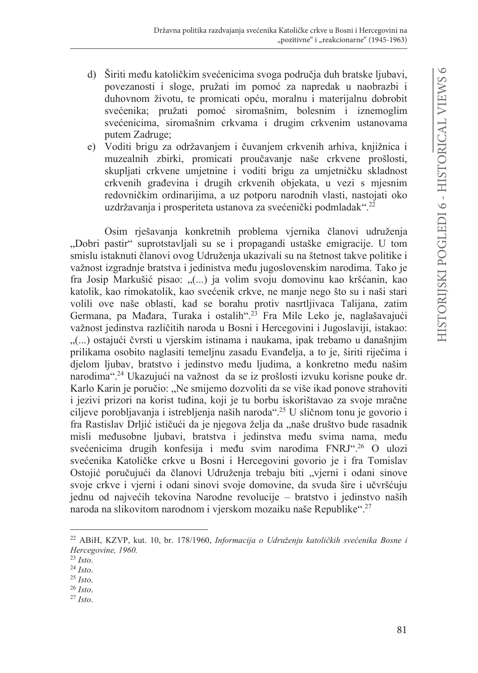- d) Širiti među katoličkim svećenicima svoga područja duh bratske ljubavi, povezanosti i sloge, pružati im pomoć za napredak u naobrazbi i duhovnom životu, te promicati opću, moralnu i materijalnu dobrobit svećenika; pružati pomoć siromašnim, bolesnim i iznemoglim svećenicima, siromašnim crkvama i drugim crkvenim ustanovama putem Zadruge;
- e) Voditi brigu za održavanjem i čuvanjem crkvenih arhiva, knjižnica i muzealnih zbirki, promicati proučavanie naše crkvene prošlosti, skupljati crkvene umjetnine i voditi brigu za umjetničku skladnost crkvenih građevina i drugih crkvenih objekata, u vezi s mjesnim redovničkim ordinarijima, a uz potporu narodnih vlasti, nastojati oko uzdržavanja i prosperiteta ustanova za svećenički podmladak".<sup>22</sup>

Osim rješavanja konkretnih problema vjernika članovi udruženja "Dobri pastir" suprotstavljali su se i propagandi ustaške emigracije. U tom smislu istaknuti članovi ovog Udruženja ukazivali su na štetnost takve politike i važnost izgradnje bratstva i jedinistva među jugoslovenskim narodima. Tako je fra Josip Markušić pisao: "(...) ja volim svoju domovinu kao kršćanin, kao katolik, kao rimokatolik, kao svećenik crkve, ne manje nego što su i naši stari volili ove naše oblasti, kad se borahu protiv nasrtljivaca Talijana, zatim Germana, pa Mađara, Turaka i ostalih".<sup>23</sup> Fra Mile Leko je, naglašavajući važnost jedinstva različitih naroda u Bosni i Hercegovini i Jugoslaviji, istakao: "(...) ostajući čvrsti u vjerskim istinama i naukama, ipak trebamo u današnjim prilikama osobito naglasiti temeljnu zasadu Evanđelja, a to je, širiti riječima i djelom ljubav, bratstvo i jedinstvo među ljudima, a konkretno među našim narodima".<sup>24</sup> Ukazujući na važnost da se iz prošlosti izvuku korisne pouke dr. Karlo Karin je poručio: "Ne smijemo dozvoliti da se više ikad ponove strahoviti i jezivi prizori na korist tuđina, koji je tu borbu iskorištavao za svoje mračne ciljeve porobljavanja i istrebljenja naših naroda".<sup>25</sup> U sličnom tonu je govorio i fra Rastislav Drljić ističući da je njegova želja da "naše društvo bude rasadnik misli međusobne ljubavi, bratstva i jedinstva među svima nama, među svećenicima drugih konfesija i među svim narodima FNRJ".<sup>26</sup> O ulozi svećenika Katoličke crkve u Bosni i Hercegovini govorio je i fra Tomislav Ostojić poručujući da članovi Udruženja trebaju biti "vjerni i odani sinove svoje crkve i vjerni i odani sinovi svoje domovine, da svuda šire i učvršćuju jednu od najvećih tekovina Narodne revolucije – bratstvo i jedinstvo naših naroda na slikovitom narodnom i vjerskom mozaiku naše Republike".<sup>27</sup>

<sup>&</sup>lt;sup>22</sup> ABiH, KZVP, kut. 10, br. 178/1960, Informacija o Udruženju katoličkih svećenika Bosne i Hercegovine, 1960.

 $^{23}$  Isto.

 $24$  Isto.

 $25$  Isto.

 $^{26}$  Isto.

 $27$  Isto.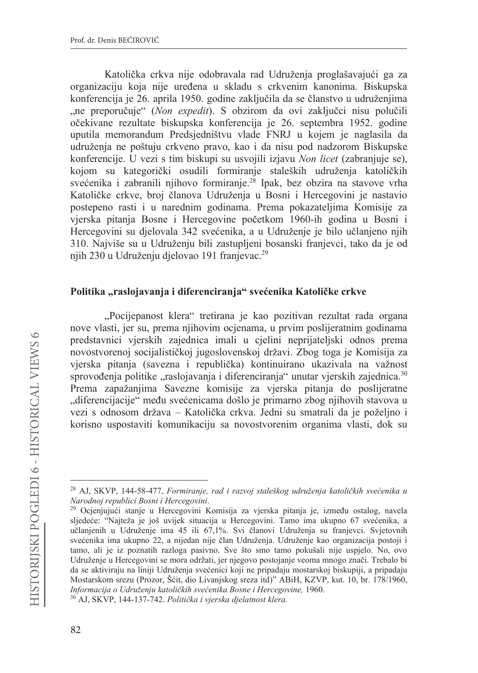Katolička crkva nije odobravala rad Udruženia proglašavajući ga za organizaciju koja nije uređena u skladu s crkvenim kanonima. Biskupska konferencija je 26. aprila 1950. godine zaključila da se članstvo u udruženjima "ne preporučuje" (Non expedit). S obzirom da ovi zaključci nisu polučili očekivane rezultate biskupska konferencija je 26. septembra 1952. godine uputila memorandum Predsjedništvu vlade FNRJ u kojem je naglasila da udruženja ne poštuju crkveno pravo, kao i da nisu pod nadzorom Biskupske konferencije. U vezi s tim biskupi su usvojili izjavu Non licet (zabranjuje se). kojom su kategorički osudili formiranje staleških udruženja katoličkih svećenika i zabranili njihovo formiranje.<sup>28</sup> Ipak, bez obzira na stavove vrha Katoličke crkve, broj članova Udruženja u Bosni i Hercegovini je nastavio postepeno rasti i u narednim godinama. Prema pokazateljima Komisije za vjerska pitanja Bosne i Hercegovine početkom 1960-ih godina u Bosni i Hercegovini su djelovala 342 svećenika, a u Udruženje je bilo učlanjeno njih 310. Najviše su u Udruženju bili zastupljeni bosanski franjevci, tako da je od niih 230 u Udruženiu dielovao 191 franievac.<sup>29</sup>

### Politika "raslojavanja i diferenciranja" svećenika Katoličke crkve

"Pocijepanost klera" tretirana je kao pozitivan rezultat rada organa nove vlasti, jer su, prema njihovim ocjenama, u prvim poslijeratnim godinama predstavnici vjerskih zajednica imali u cjelini neprijateljski odnos prema novostvorenoj socijalističkoj jugoslovenskoj državi. Zbog toga je Komisija za vjerska pitanja (savezna i republička) kontinuirano ukazivala na važnost sprovođenja politike "raslojavanja i diferenciranja" unutar vjerskih zajednica.<sup>30</sup> Prema zapažanjima Savezne komisije za vjerska pitanja do poslijeratne "diferencijacije" među svećenicama došlo je primarno zbog njihovih stavova u vezi s odnosom država – Katolička crkva. Jedni su smatrali da je poželjno i korisno uspostaviti komunikaciju sa novostvorenim organima vlasti, dok su

<sup>&</sup>lt;sup>28</sup> AJ, SKVP, 144-58-477, Formiranje, rad i razvoj staleškog udruženja katoličkih svećenika u Narodnoj republici Bosni i Hercegovini.

<sup>&</sup>lt;sup>29</sup> Ocjenjujući stanje u Hercegovini Komisija za vjerska pitanja je, između ostalog, navela sljedeće: "Najteža je još uvijek situacija u Hercegovini. Tamo ima ukupno 67 svećenika, a učlanjenih u Udruženje ima 45 ili 67,1%. Svi članovi Udruženja su franjevci. Svjetovnih svećenika ima ukupno 22, a nijedan nije član Udruženja. Udruženje kao organizacija postoji i tamo, ali je iz poznatih razloga pasivno. Sve što smo tamo pokušali nije uspjelo. No, ovo Udruženje u Hercegovini se mora održati, jer njegovo postojanje veoma mnogo znači. Trebalo bi da se aktiviraju na liniji Udruženja svećenici koji ne pripadaju mostarskoj biskupiji, a pripadaju Mostarskom srezu (Prozor, Šćit, dio Livanjskog sreza itd)" ABiH, KZVP, kut. 10, br. 178/1960, Informacija o Udruženju katoličkih svećenika Bosne i Hercegovine, 1960.

<sup>30</sup> AJ, SKVP, 144-137-742. Politička i vjerska djelatnost klera.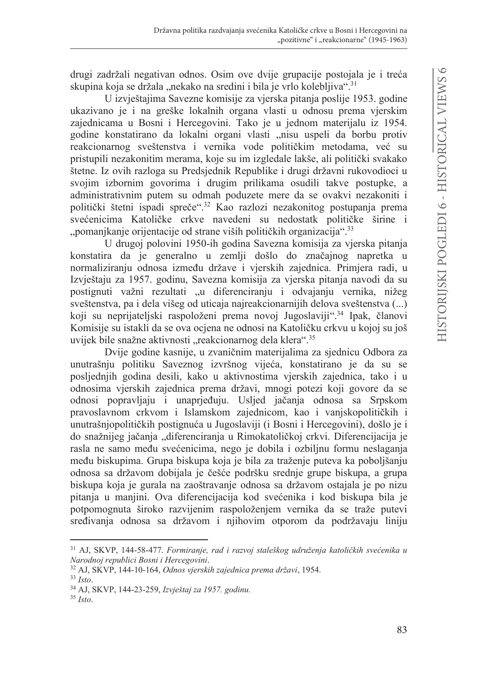drugi zadržali negativan odnos. Osim ove dvije grupacije postojala je i treća skupina koja se držala "nekako na sredini i bila je vrlo kolebljiva".<sup>31</sup>

U izvještajima Savezne komisije za vjerska pitanja poslije 1953. godine ukazivano je i na greške lokalnih organa vlasti u odnosu prema vjerskim zajednicama u Bosni i Hercegovini. Tako je u jednom materijalu iz 1954. godine konstatirano da lokalni organi vlasti "nisu uspeli da borbu protiv reakcionarnog sveštenstva i vernika vode političkim metodama, već su pristupili nezakonitim merama, koje su im izgledale lakše, ali politički svakako štetne. Iz ovih razloga su Predsjednik Republike i drugi državni rukovodioci u svojim izbornim govorima i drugim prilikama osudili takve postupke, a administrativnim putem su odmah poduzete mere da se ovakvi nezakoniti i politički štetni ispadi spreče".<sup>32</sup> Kao razlozi nezakonitog postupanja prema svećenicima Katoličke crkve navedeni su nedostatk političke širine i "pomanjkanje orijentacije od strane viših političkih organizacija".<sup>33</sup>

U drugoj polovini 1950-ih godina Savezna komisija za vjerska pitanja konstatira da je generalno u zemlji došlo do značajnog napretka u normaliziranju odnosa između države i vjerskih zajednica. Primjera radi, u Izvještaju za 1957. godinu, Savezna komisija za vjerska pitanja navodi da su postignuti važni rezultati "u diferenciranju i odvajanju vernika, nižeg sveštenstva, pa i dela višeg od uticaja najreakcionarnijih delova sveštenstva (...) koji su neprijateljski raspoloženi prema novoj Jugoslaviji".<sup>34</sup> Ipak, članovi Komisije su istakli da se ova ocjena ne odnosi na Katoličku crkvu u kojoj su još uvijek bile snažne aktivnosti "reakcionarnog dela klera".<sup>35</sup>

Dvije godine kasnije, u zvaničnim materijalima za sjednicu Odbora za unutrašnju politiku Saveznog izvršnog vijeća, konstatirano je da su se posljednjih godina desili, kako u aktivnostima vjerskih zajednica, tako i u odnosima vjerskih zajednica prema državi, mnogi potezi koji govore da se odnosi popravljaju i unaprjeđuju. Usljed jačanja odnosa sa Srpskom pravoslavnom crkvom i Islamskom zajednicom, kao i vanjskopolitičkih i unutrašnjopolitičkih postignuća u Jugoslaviji (i Bosni i Hercegovini), došlo je i do snažnijeg jačanja "diferenciranja u Rimokatoličkoj crkvi. Diferencijacija je rasla ne samo među svećenicima, nego je dobila i ozbiljnu formu neslaganja među biskupima. Grupa biskupa koja je bila za traženje puteva ka poboljšanju odnosa sa državom dobijala je češće podršku srednje grupe biskupa, a grupa biskupa koja je gurala na zaoštravanje odnosa sa državom ostajala je po nizu pitanja u manjini. Ova diferencijacija kod svećenika i kod biskupa bila je potpomognuta široko razvijenim raspoloženjem vernika da se traže putevi sređivanja odnosa sa državom i njihovim otporom da podržavaju liniju

<sup>31</sup> AJ, SKVP, 144-58-477. Formiranje, rad i razvoj staleškog udruženja katoličkih svećenika u Narodnoj republici Bosni i Hercegovini.

<sup>&</sup>lt;sup>32</sup> AJ, SKVP, 144-10-164, Odnos vjerskih zajednica prema državi, 1954.

 $33$  Isto.

<sup>&</sup>lt;sup>34</sup> AJ, SKVP, 144-23-259, Izvještaj za 1957. godinu.

 $35$  Isto.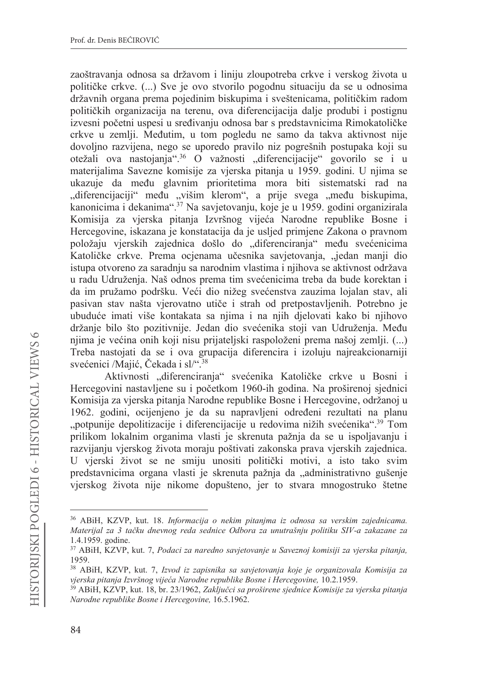zaoštravanja odnosa sa državom i liniju zloupotreba crkve i verskog života u političke crkve. (...) Sve je ovo stvorilo pogodnu situaciju da se u odnosima državnih organa prema pojedinim biskupima i sveštenicama, političkim radom političkih organizacija na terenu, ova diferencijacija dalje produbi i postignu izvesni početni uspesi u sređivanju odnosa bar s predstavnicima Rimokatoličke crkve u zemlji. Međutim, u tom pogledu ne samo da takva aktivnost nije dovoljno razvijena, nego se uporedo pravilo niz pogrešnih postupaka koji su otežali ova nastojanja".<sup>36</sup> O važnosti "diferencijacije" govorilo se i u materijalima Savezne komisije za vjerska pitanja u 1959. godini. U njima se ukazuje da među glavnim prioritetima mora biti sistematski rad na "diferencijaciji" među "višim klerom", a prije svega "među biskupima, kanonicima i dekanima".<sup>37</sup> Na savjetovanju, koje je u 1959. godini organizirala Komisija za vjerska pitania Izvršnog vijeća Narodne republike Bosne i Hercegovine, iskazana je konstatacija da je usljed primjene Zakona o pravnom položaju vjerskih zajednica došlo do "diferenciranja" među svećenicima Katoličke crkve. Prema ocjenama učesnika savjetovanja, "jedan manji dio istupa otvoreno za saradnju sa narodnim vlastima i njihova se aktivnost održava u radu Udruženja. Naš odnos prema tim svećenicima treba da bude korektan i da im pružamo podršku. Veći dio nižeg svećenstva zauzima lojalan stav, ali pasivan stav našta vjerovatno utiče i strah od pretpostavljenih. Potrebno je ubuduće imati više kontakata sa njima i na njih djelovati kako bi njihovo držanje bilo što pozitivnije. Jedan dio svećenika stoji van Udruženja. Među njima je većina onih koji nisu prijateljski raspoloženi prema našoj zemlji. (...) Treba nastojati da se i ova grupacija diferencira i izoluju najreakcionarniji svećenici /Majić, Čekada i sl/".<sup>38</sup>

Aktivnosti "diferenciranja" svećenika Katoličke crkve u Bosni i Hercegovini nastavljene su i početkom 1960-ih godina. Na proširenoj sjednici Komisija za vjerska pitanja Narodne republike Bosne i Hercegovine, održanoj u 1962. godini, ocijenjeno je da su napravljeni određeni rezultati na planu "potpunije depolitizacije i diferencijacije u redovima nižih svećenika".<sup>39</sup> Tom prilikom lokalnim organima vlasti je skrenuta pažnja da se u ispoljavanju i razvijanju vjerskog života moraju poštivati zakonska prava vjerskih zajednica. U vjerski život se ne smiju unositi politički motivi, a isto tako svim predstavnicima organa vlasti je skrenuta pažnja da "administrativno gušenje vjerskog života nije nikome dopušteno, jer to stvara mnogostruko štetne

<sup>&</sup>lt;sup>36</sup> ABiH, KZVP, kut. 18. *Informacija o nekim pitanima iz odnosa sa verskim zajednicama*. Materijal za 3 tačku dnevnog reda sednice Odbora za unutrašnju politiku SIV-a zakazane za 1.4.1959. godine.

<sup>37</sup> ABiH, KZVP, kut. 7, Podaci za naredno savjetovanje u Saveznoj komisiji za vjerska pitanja, 1959.

<sup>38</sup> ABiH, KZVP, kut. 7, Izvod iz zapisnika sa savjetovanja koje je organizovala Komisija za vjerska pitanja Izvršnog vijeća Narodne republike Bosne i Hercegovine, 10.2.1959.

<sup>&</sup>lt;sup>39</sup> ABiH, KZVP, kut. 18, br. 23/1962, Zaključci sa proširene sjednice Komisije za vjerska pitanja Narodne republike Bosne i Hercegovine, 16.5.1962.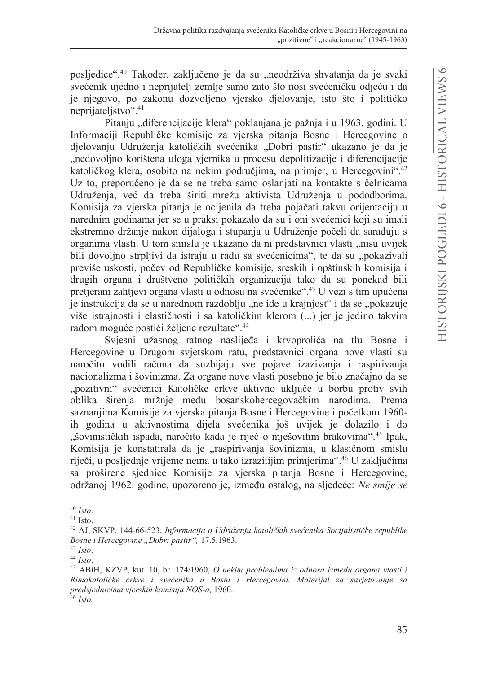posljedice".<sup>40</sup> Također, zaključeno je da su "neodrživa shvatanja da je svaki svećenik ujedno i neprijatelj zemlje samo zato što nosi svećeničku odjeću i da je njegovo, po zakonu dozvoljeno vjersko djelovanje, isto što i političko neprijateljstvo".<sup>41</sup>

Pitanju "diferencijacije klera" poklanjana je pažnja i u 1963. godini. U Informaciji Republičke komisije za vjerska pitanja Bosne i Hercegovine o djelovanju Udruženja katoličkih svećenika "Dobri pastir" ukazano je da je "nedovoljno korištena uloga vjernika u procesu depolitizacije i diferencijacije katoličkog klera, osobito na nekim područjima, na primjer, u Hercegovini".<sup>42</sup> Uz to, preporučeno je da se ne treba samo oslanjati na kontakte s čelnicama Udruženja, već da treba širiti mrežu aktivista Udruženja u pododborima. Komisija za vjerska pitanja je ocijenila da treba pojačati takvu orijentaciju u narednim godinama jer se u praksi pokazalo da su i oni svećenici koji su imali ekstremno držanje nakon dijaloga i stupanja u Udruženje počeli da sarađuju s organima vlasti. U tom smislu je ukazano da ni predstavnici vlasti "nisu uvijek bili dovoljno strpljivi da istraju u radu sa svećenicima", te da su "pokazivali previše uskosti, počev od Republičke komisije, sreskih i opštinskih komisija i drugih organa i društveno političkih organizacija tako da su ponekad bili pretjerani zahtjevi organa vlasti u odnosu na svećenike".<sup>43</sup> U vezi s tim upućena je instrukcija da se u narednom razdoblju "ne ide u krajnjost" i da se "pokazuje više istrainosti i elastičnosti i sa katoličkim klerom (...) jer je jedino takvim radom moguće postići željene rezultate".<sup>44</sup>

Svjesni užasnog ratnog naslijeđa i krvoprolića na tlu Bosne i Hercegovine u Drugom svjetskom ratu, predstavnici organa nove vlasti su naročito vodili računa da suzbijaju sve pojave izazivanja i raspirivanja nacionalizma i šovinizma. Za organe nove vlasti posebno je bilo značajno da se "pozitivni" svećenici Katoličke crkve aktivno uključe u borbu protiv svih oblika širenja mržnje među bosanskohercegovačkim narodima. Prema saznanjima Komisije za vjerska pitanja Bosne i Hercegovine i početkom 1960ih godina u aktivnostima dijela svećenika još uvijek je dolazilo i do "šovinističkih ispada, naročito kada je riječ o mješovitim brakovima".<sup>45</sup> Ipak, Komisija je konstatirala da je "raspirivanja šovinizma, u klasičnom smislu riječi, u posljednje vrijeme nema u tako izrazitijim primjerima".<sup>46</sup> U zaključima sa proširene sjednice Komisije za vjerska pitanja Bosne i Hercegovine, održanoj 1962. godine, upozoreno je, između ostalog, na sljedeće: Ne smije se

 $40$  Isto.

 $41$  Isto.

<sup>&</sup>lt;sup>42</sup> AJ, SKVP, 144-66-523, Informacija o Udruženju katoličkih svećenika Socijalističke republike Bosne i Hercegovine "Dobri pastir", 17.5.1963.

 $43$  Isto.

 $44$  Isto.

<sup>&</sup>lt;sup>45</sup> ABiH, KZVP, kut. 10, br. 174/1960, O nekim problemima iz odnosa između organa vlasti i Rimokatoličke crkve i svećenika u Bosni i Hercegovini. Materijal za savjetovanje sa predsjednicima vjerskih komisija NOS-a, 1960.  $46$  Isto.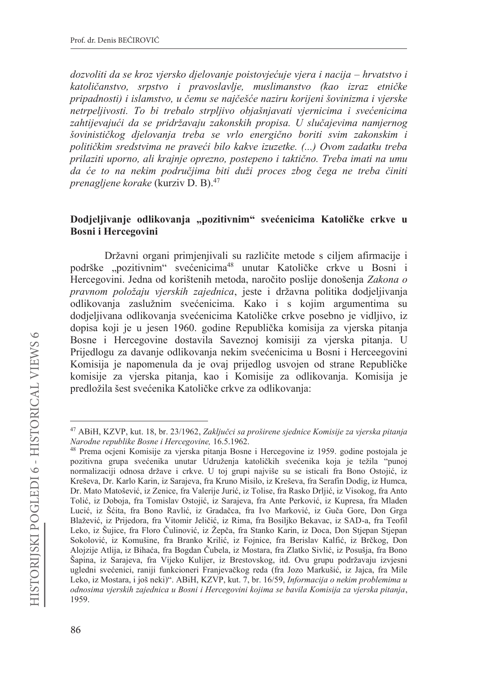dozvoliti da se kroz vjersko djelovanje poistovjećuje vjera i nacija – hrvatstvo i katoličanstvo, srpstvo i pravoslavlje, muslimanstvo (kao izraz etničke pripadnosti) i islamstvo, u čemu se najčešće naziru korijeni šovinizma i vjerske netrpeljivosti. To bi trebalo strpljivo objašnjavati vjernicima i svećenicima zahtijevajući da se pridržavaju zakonskih propisa. U slučajevima namjernog šovinističkog djelovanja treba se vrlo energično boriti svim zakonskim i političkim sredstvima ne praveći bilo kakve izuzetke. (...) Ovom zadatku treba prilaziti uporno, ali krajnje oprezno, postepeno i taktično. Treba imati na umu da će to na nekim područjima biti duži proces zbog čega ne treba činiti *prenagliene korake* (kurziv D. B).<sup>47</sup>

### Dodjeljivanje odlikovanja "pozitivnim" svećenicima Katoličke crkve u **Bosni** i Hercegovini

Državni organi primjenjivali su različite metode s ciljem afirmacije i podrške "pozitivnim" svećenicima<sup>48</sup> unutar Katoličke crkve u Bosni i Hercegovini. Jedna od korištenih metoda, naročito poslije donošenja Zakona o pravnom položaju vjerskih zajednica, jeste i državna politika dodjeljivanja odlikovanja zaslužnim svećenicima. Kako i s kojim argumentima su dodielijvana odlikovanja svećenicima Katoličke crkve posebno je vidlijvo, iz dopisa koji je u jesen 1960. godine Republička komisija za vjerska pitanja Bosne i Hercegovine dostavila Saveznoj komisiji za vjerska pitanja. U Prijedlogu za davanje odlikovanja nekim svećenicima u Bosni i Herceegovini Komisija je napomenula da je ovaj prijedlog usvojen od strane Republičke komisije za vjerska pitanja, kao i Komisije za odlikovanja. Komisija je predložila šest svećenika Katoličke crkve za odlikovanja:

<sup>&</sup>lt;sup>47</sup> ABiH, KZVP, kut. 18, br. 23/1962, Zaključci sa proširene sjednice Komisije za vjerska pitanja Narodne republike Bosne i Hercegovine, 16.5.1962.

<sup>48</sup> Prema ocjeni Komisije za vjerska pitanja Bosne i Hercegovine iz 1959. godine postojala je pozitivna grupa svećenika unutar Udruženja katoličkih svećenika koja je težila "punoj normalizaciji odnosa države i crkve. U toj grupi najviše su se isticali fra Bono Ostojić, iz Kreševa, Dr. Karlo Karin, iz Sarajeva, fra Kruno Misilo, iz Kreševa, fra Serafin Dodig, iz Humca, Dr. Mato Matošević, iz Zenice, fra Valerije Jurić, iz Tolise, fra Rasko Drljić, iz Visokog, fra Anto Tolić, iz Doboja, fra Tomislav Ostojić, iz Sarajeva, fra Ante Perković, iz Kupresa, fra Mladen Lucić, iz Šćita, fra Bono Ravlić, iz Gradačca, fra Ivo Marković, iz Guča Gore, Don Grga Blažević, iz Prijedora, fra Vitomir Jeličić, iz Rima, fra Bosiljko Bekavac, iz SAD-a, fra Teofil Leko, iz Šujice, fra Floro Čulinović, iz Žepča, fra Stanko Karin, iz Doca, Don Stjepan Stjepan Sokolović, iz Komušine, fra Branko Krilić, iz Fojnice, fra Berislav Kalfić, iz Brčkog, Don Alojzije Atlija, iz Bihaća, fra Bogdan Čubela, iz Mostara, fra Zlatko Sivlić, iz Posušja, fra Bono Šapina, iz Sarajeva, fra Vijeko Kulijer, iz Brestovskog, itd. Ovu grupu podržavaju izvjesni ugledni svećenici, raniji funkcioneri Franjevačkog reda (fra Jozo Markušić, iz Jajca, fra Mile Leko, iz Mostara, i još neki)". ABiH, KZVP, kut. 7, br. 16/59, Informacija o nekim problemima u odnosima vjerskih zajednica u Bosni i Hercegovini kojima se bavila Komisija za vjerska pitanja, 1959.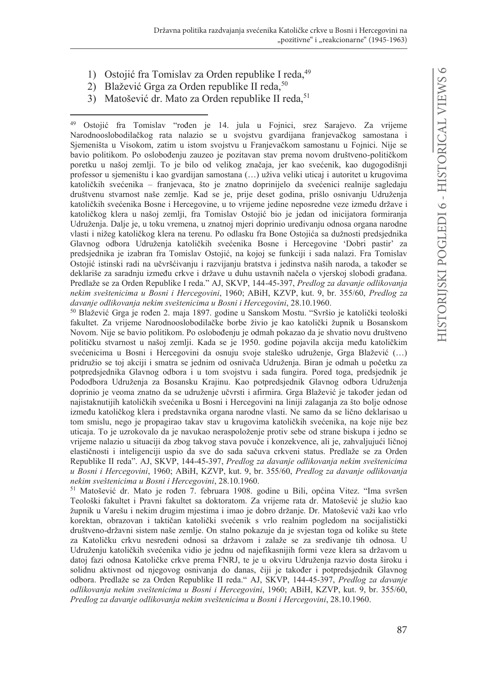- 1) Ostojić fra Tomislav za Orden republike I reda, 49
- 2) Blažević Grga za Orden republike II reda,<sup>50</sup>
- 3) Matošević dr. Mato za Orden republike II reda,<sup>51</sup>

<sup>49</sup> Ostojić fra Tomislav "rođen je 14. jula u Fojnici, srez Sarajevo. Za vrijeme Narodnooslobodilačkog rata nalazio se u svojstvu gvardijana franjevačkog samostana i Sjemeništa u Visokom, zatim u istom svojstvu u Franjevačkom samostanu u Fojnici. Nije se bavio politikom. Po oslobođenju zauzeo je pozitavan stav prema novom društveno-političkom poretku u našoj zemlji. To je bilo od velikog značaja, jer kao svećenik, kao dugogodišnji professor u sjemeništu i kao gvardijan samostana (...) uživa veliki uticaj i autoritet u krugovima katoličkih svećenika – franjevaca, što je znatno doprinijelo da svećenici realnije sagledaju društvenu stvarnost naše zemlje. Kad se je, prije deset godina, prišlo osnivanju Udruženja katoličkih svećenika Bosne i Hercegovine, u to vrijeme jedine neposredne veze između države i katoličkog klera u našoj zemlji, fra Tomislav Ostojić bio je jedan od inicijatora formiranja Udruženja. Dalje je, u toku vremena, u znatnoj mjeri doprinio uređivanju odnosa organa narodne vlasti i nižeg katoličkog klera na terenu. Po odlasku fra Bone Ostojića sa dužnosti predsjednika Glavnog odbora Udruženja katoličkih svećenika Bosne i Hercegovine 'Dobri pastir' za predsjednika je izabran fra Tomislav Ostojić, na kojoj se funkciji i sada nalazi. Fra Tomislav Ostojić istinski radi na učvršćivanju i razvijanju bratstva i jedinstva naših naroda, a također se deklariše za saradnju između crkve i države u duhu ustavnih načela o vjerskoj slobodi građana. Predlaže se za Orden Republike I reda." AJ, SKVP, 144-45-397, Predlog za davanje odlikovanja nekim sveštenicima u Bosni i Hercegovini, 1960; ABiH, KZVP, kut. 9, br. 355/60, Predlog za davanje odlikovanja nekim sveštenicima u Bosni i Hercegovini, 28.10.1960.

50 Blažević Grga je rođen 2. maja 1897. godine u Sanskom Mostu. "Svršio je katolički teološki fakultet. Za vrijeme Narodnooslobodilačke borbe živio je kao katolički župnik u Bosanskom Novom. Nije se bavio politikom. Po oslobođenju je odmah pokazao da je shvatio novu društveno političku stvarnost u našoj zemlji. Kada se je 1950. godine pojavila akcija među katoličkim svećenicima u Bosni i Hercegovini da osnuju svoje staleško udruženje, Grga Blažević (...) pridružio se toj akciji i smatra se jednim od osnivača Udruženja. Biran je odmah u početku za potpredsjednika Glavnog odbora i u tom svojstvu i sada fungira. Pored toga, predsjednik je Pododbora Udruženja za Bosansku Krajinu. Kao potpredsjednik Glavnog odbora Udruženja doprinio je veoma znatno da se udruženje učvrsti i afirmira. Grga Blažević je također jedan od najistaknutijih katoličkih svećenika u Bosni i Hercegovini na liniji zalaganja za što bolje odnose između katoličkog klera i predstavnika organa narodne vlasti. Ne samo da se lično deklarisao u tom smislu, nego je propagirao takav stav u krugovima katoličkih svećenika, na koje nije bez uticaja. To je uzrokovalo da je navukao neraspoloženje protiv sebe od strane biskupa i jedno se vrijeme nalazio u situaciji da zbog takvog stava povuče i konzekvence, ali je, zahvaljujući ličnoj elastičnosti i inteligenciji uspio da sve do sada sačuva crkveni status. Predlaže se za Orden Republike II reda". AJ, SKVP, 144-45-397, Predlog za davanje odlikovanja nekim sveštenicima u Bosni i Hercegovini, 1960; ABiH, KZVP, kut. 9, br. 355/60, Predlog za davanje odlikovanja nekim sveštenicima u Bosni i Hercegovini, 28.10.1960.

<sup>51</sup> Matošević dr. Mato je rođen 7. februara 1908. godine u Bili, općina Vitez. "Ima svršen Teološki fakultet i Pravni fakultet sa doktoratom. Za vrijeme rata dr. Matošević je služio kao župnik u Varešu i nekim drugim mjestima i imao je dobro držanje. Dr. Matošević važi kao vrlo korektan, obrazovan i taktičan katolički svećenik s vrlo realnim pogledom na socijalistički društveno-državni sistem naše zemlje. On stalno pokazuje da je svjestan toga od kolike su štete za Katoličku crkvu nesređeni odnosi sa državom i zalaže se za sređivanje tih odnosa. U Udruženju katoličkih svećenika vidio je jednu od najefikasnijih formi veze klera sa državom u datoj fazi odnosa Katoličke crkve prema FNRJ, te je u okviru Udruženja razvio dosta široku i solidnu aktivnost od njegovog osnivanja do danas, čiji je također i potpredsjednik Glavnog odbora. Predlaže se za Orden Republike II reda." AJ, SKVP, 144-45-397, Predlog za davanje odlikovanja nekim sveštenicima u Bosni i Hercegovini, 1960; ABiH, KZVP, kut. 9, br. 355/60, Predlog za davanje odlikovanja nekim sveštenicima u Bosni i Hercegovini, 28.10.1960.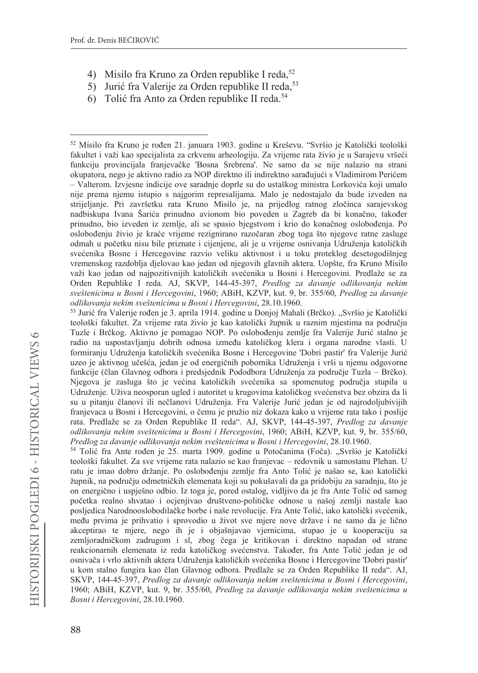- 4) Misilo fra Kruno za Orden republike I reda,<sup>52</sup>
- 5) Jurić fra Valerije za Orden republike II reda,<sup>53</sup>
- 6) Tolić fra Anto za Orden republike II reda.<sup>54</sup>

54 Tolić fra Ante rođen je 25. marta 1909. godine u Potočanima (Foča). "Svršio je Katolički teološki fakultet. Za sve vrijeme rata nalazio se kao franjevac - redovnik u samostanu Plehan. U ratu je imao dobro držanje. Po oslobođenju zemlje fra Anto Tolić je našao se, kao katolički župnik, na području odmetničkih elemenata koji su pokušavali da ga pridobiju za saradnju, što je on energično i uspješno odbio. Iz toga je, pored ostalog, vidljivo da je fra Ante Tolić od samog početka realno shvatao i ocjenjivao društveno-političke odnose u našoj zemlji nastale kao posljedica Narodnooslobodilačke borbe i naše revolucije. Fra Ante Tolić, iako katolički svećenik, među prvima je prihvatio i sprovodio u život sve mjere nove države i ne samo da je lično akceptirao te mjere, nego ih je i objašnjavao vjernicima, stupao je u kooperaciju sa zemljoradničkom zadrugom i sl, zbog čega je kritikovan i direktno napadan od strane reakcionarnih elemenata iz reda katoličkog svećenstva. Također, fra Ante Tolić jedan je od osnivača i vrlo aktivnih aktera Udruženja katoličkih svećenika Bosne i Hercegovine 'Dobri pastir' u kom stalno fungira kao član Glavnog odbora. Predlaže se za Orden Republike II reda". AJ, SKVP, 144-45-397, Predlog za davanje odlikovanja nekim sveštenicima u Bosni i Hercegovini, 1960; ABiH, KZVP, kut. 9, br. 355/60, Predlog za davanje odlikovanja nekim sveštenicima u Bosni i Hercegovini, 28.10.1960.

<sup>52</sup> Misilo fra Kruno je rođen 21. januara 1903. godine u Kreševu. "Svršio je Katolički teološki fakultet i važi kao specijalista za crkvenu arheologiju. Za vrijeme rata živio je u Sarajevu vršeći funkciju provincijala franjevačke 'Bosna Srebrena'. Ne samo da se nije nalazio na strani okupatora, nego je aktivno radio za NOP direktno ili indirektno sarađujući s Vladimirom Perićem – Valterom. Izvjesne indicije ove saradnje doprle su do ustaškog ministra Lorkovića koji umalo nije prema njemu istupio s najgorim represalijama. Malo je nedostajalo da bude izveden na strijeljanje. Pri završetku rata Kruno Misilo je, na prijedlog ratnog zločinca sarajevskog nadbiskupa Ivana Šarića prinudno avionom bio poveden u Zagreb da bi konačno, također prinudno, bio izveden iz zemlje, ali se spasio bjegstvom i krio do konačnog oslobođenja. Po oslobođenju živio je kraće vrijeme rezignirano razočaran zbog toga što njegove ratne zasluge odmah u početku nisu bile priznate i cijenjene, ali je u vrijeme osnivanja Udruženja katoličkih svećenika Bosne i Hercegovine razvio veliku aktivnost i u toku proteklog desetogodišnjeg vremenskog razdoblja djelovao kao jedan od njegovih glavnih aktera. Uopšte, fra Kruno Misilo važi kao jedan od najpozitivnijih katoličkih svećenika u Bosni i Hercegovini. Predlaže se za Orden Republike I reda. AJ, SKVP, 144-45-397, Predlog za davanje odlikovanja nekim sveštenicima u Bosni i Hercegovini, 1960; ABiH, KZVP, kut. 9, br. 355/60, Predlog za davanje odlikovanja nekim sveštenicima u Bosni i Hercegovini, 28.10.1960.

<sup>53</sup> Jurić fra Valerije rođen je 3. aprila 1914. godine u Donjoj Mahali (Brčko). "Svršio je Katolički teološki fakultet. Za vrijeme rata živio je kao katolički župnik u raznim mjestima na području Tuzle i Brčkog. Aktivno je pomagao NOP. Po oslobođenju zemlje fra Valerije Jurić stalno je radio na uspostavljanju dobrih odnosa između katoličkog klera i organa narodne vlasti. U formiranju Udruženja katoličkih svećenika Bosne i Hercegovine 'Dobri pastir' fra Valerije Jurić uzeo je aktivnog učešća, jedan je od energičnih pobornika Udruženja i vrši u njemu odgovorne funkcije (član Glavnog odbora i predsjednik Pododbora Udruženja za područje Tuzla – Brčko). Njegova je zasluga što je većina katoličkih svećenika sa spomenutog područja stupila u Udruženje. Uživa neosporan ugled i autoritet u krugovima katoličkog svećenstva bez obzira da li su u pitanju članovi ili nečlanovi Udruženja. Fra Valerije Jurić jedan je od najrodoljubivijih franjevaca u Bosni i Hercegovini, o čemu je pružio niz dokaza kako u vrijeme rata tako i poslije rata. Predlaže se za Orden Republike II reda". AJ, SKVP, 144-45-397, Predlog za davanje odlikovanja nekim sveštenicima u Bosni i Hercegovini, 1960; ABiH, KZVP, kut. 9, br. 355/60, Predlog za davanje odlikovanja nekim sveštenicima u Bosni i Hercegovini, 28.10.1960.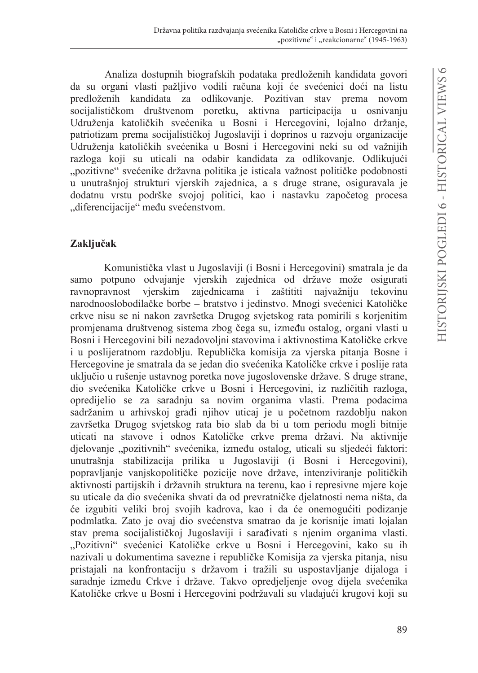Analiza dostupnih biografskih podataka predloženih kandidata govori da su organi vlasti pažljivo vodili računa koji će svećenici doći na listu predloženih kandidata za odlikovanje. Pozitivan stav prema novom socijalističkom društvenom poretku, aktivna participacija u osnivanju Udruženia katoličkih svećenika u Bosni i Hercegovini, lojalno držanie, patriotizam prema socijalističkoj Jugoslaviji i doprinos u razvoju organizacije Udruženja katoličkih svećenika u Bosni i Hercegovini neki su od važnijih razloga koji su uticali na odabir kandidata za odlikovanje. Odlikujući "pozitivne" svećenike državna politika je isticala važnost političke podobnosti u unutrašnjoj strukturi vjerskih zajednica, a s druge strane, osiguravala je dodatnu vrstu podrške svojoj politici, kao i nastavku započetog procesa "diferencijacije" među svećenstvom.

# Zaključak

Komunistička vlast u Jugoslaviji (i Bosni i Hercegovini) smatrala je da samo potpuno odvajanje vjerskih zajednica od države može osigurati ravnopravnost vjerskim zajednicama i zaštititi najvažniju tekovinu narodnooslobodilačke borbe – bratstvo i jedinstvo. Mnogi svećenici Katoličke crkve nisu se ni nakon završetka Drugog svjetskog rata pomirili s korjenitim promjenama društvenog sistema zbog čega su, između ostalog, organi vlasti u Bosni i Hercegovini bili nezadovoljni stavovima i aktivnostima Katoličke crkve i u poslijeratnom razdoblju. Republička komisija za vjerska pitanja Bosne i Hercegovine je smatrala da se jedan dio svećenika Katoličke crkve i poslije rata uključio u rušenje ustavnog poretka nove jugoslovenske države. S druge strane, dio svećenika Katoličke crkve u Bosni i Hercegovini, iz različitih razloga, opredijelio se za saradnju sa novim organima vlasti. Prema podacima sadržanim u arhivskoj građi njihov uticaj je u početnom razdoblju nakon završetka Drugog svjetskog rata bio slab da bi u tom periodu mogli bitnije uticati na stavove i odnos Katoličke crkve prema državi. Na aktivnije djelovanje "pozitivnih" svećenika, između ostalog, uticali su sljedeći faktori: unutrašnja stabilizacija prilika u Jugoslaviji (i Bosni i Hercegovini), popravljanje vanjskopolitičke pozicije nove države, intenziviranje političkih aktivnosti partijskih i državnih struktura na terenu, kao i represivne mjere koje su uticale da dio svećenika shvati da od prevratničke djelatnosti nema ništa, da će izgubiti veliki broj svojih kadrova, kao i da će onemogućiti podizanje podmlatka. Zato je ovaj dio svećenstva smatrao da je korisnije imati lojalan stav prema socijalističkoj Jugoslaviji i sarađivati s njenim organima vlasti. "Pozitivni" svećenici Katoličke crkve u Bosni i Hercegovini, kako su ih nazivali u dokumentima savezne i republičke Komisija za vjerska pitanja, nisu pristajali na konfrontaciju s državom i tražili su uspostavljanje dijaloga i saradnje između Crkve i države. Takvo opredjeljenje ovog dijela svećenika Katoličke crkve u Bosni i Hercegovini podržavali su vladajući krugovi koji su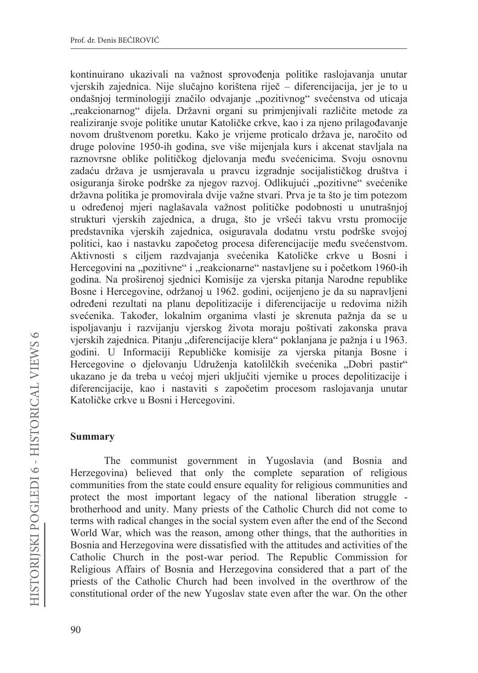kontinuirano ukazivali na važnost sprovođenja politike raslojavanja unutar vjerskih zajednica. Nije slučajno korištena riječ – diferencijacija, jer je to u ondašnjoj terminologiji značilo odvajanje "pozitivnog" svećenstva od uticaja "reakcionarnog" dijela. Državni organi su primjenjivali različite metode za realiziranje svoje politike unutar Katoličke crkve, kao i za njeno prilagođavanje novom društvenom poretku. Kako je vrijeme proticalo država je, naročito od druge polovine 1950-ih godina, sve više mijenjala kurs i akcenat stavljala na raznovrsne oblike političkog dielovania među svećenicima. Svoju osnovnu zadaću država je usmjeravala u pravcu izgradnje socijalističkog društva i osiguranja široke podrške za njegov razvoj. Odlikujući "pozitivne" svećenike državna politika je promovirala dvije važne stvari. Prva je ta što je tim potezom u određenoj mjeri naglašavala važnost političke podobnosti u unutrašnjoj strukturi vjerskih zajednica, a druga, što je vršeći takvu vrstu promocije predstavnika vjerskih zajednica, osiguravala dodatnu vrstu podrške svojoj politici, kao i nastavku započetog procesa diferencijacije među svećenstvom. Aktivnosti s ciljem razdvajanja svećenika Katoličke crkve u Bosni i Hercegovini na "pozitivne" i "reakcionarne" nastavljene su i početkom 1960-ih godina. Na proširenoj sjednici Komisije za vjerska pitanja Narodne republike Bosne i Hercegovine, održanoj u 1962. godini, ocijenjeno je da su napravljeni određeni rezultati na planu depolitizacije i diferencijacije u redovima nižih svećenika. Također, lokalnim organima vlasti je skrenuta pažnja da se u ispoljavanju i razvijanju vjerskog života moraju poštivati zakonska prava vjerskih zajednica. Pitanju "diferencijacije klera" poklanjana je pažnja i u 1963. godini. U Informaciji Republičke komisije za vjerska pitania Bosne i Hercegovine o djelovanju Udruženja katolilčkih svećenika "Dobri pastir" ukazano je da treba u većoj mjeri uključiti vjernike u proces depolitizacije i diferencijacije, kao i nastaviti s započetim procesom raslojavanja unutar Katoličke crkve u Bosni i Hercegovini.

### **Summary**

The communist government in Yugoslavia (and Bosnia and Herzegovina) believed that only the complete separation of religious communities from the state could ensure equality for religious communities and protect the most important legacy of the national liberation struggle brotherhood and unity. Many priests of the Catholic Church did not come to terms with radical changes in the social system even after the end of the Second World War, which was the reason, among other things, that the authorities in Bosnia and Herzegovina were dissatisfied with the attitudes and activities of the Catholic Church in the post-war period. The Republic Commission for Religious Affairs of Bosnia and Herzegovina considered that a part of the priests of the Catholic Church had been involved in the overthrow of the constitutional order of the new Yugoslav state even after the war. On the other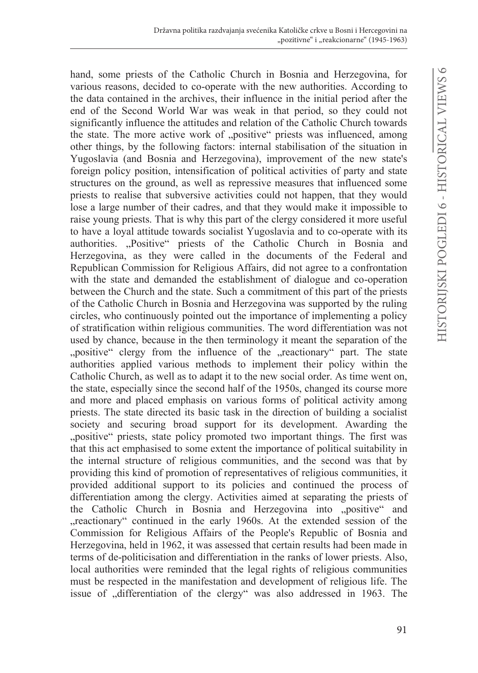hand, some priests of the Catholic Church in Bosnia and Herzegovina, for various reasons, decided to co-operate with the new authorities. According to the data contained in the archives, their influence in the initial period after the end of the Second World War was weak in that period, so they could not significantly influence the attitudes and relation of the Catholic Church towards the state. The more active work of "positive" priests was influenced, among other things, by the following factors: internal stabilisation of the situation in Yugoslavia (and Bosnia and Herzegovina), improvement of the new state's foreign policy position, intensification of political activities of party and state structures on the ground, as well as repressive measures that influenced some priests to realise that subversive activities could not happen, that they would lose a large number of their cadres, and that they would make it impossible to raise young priests. That is why this part of the clergy considered it more useful to have a loyal attitude towards socialist Yugoslavia and to co-operate with its authorities. "Positive" priests of the Catholic Church in Bosnia and Herzegovina, as they were called in the documents of the Federal and Republican Commission for Religious Affairs, did not agree to a confrontation with the state and demanded the establishment of dialogue and co-operation between the Church and the state. Such a commitment of this part of the priests of the Catholic Church in Bosnia and Herzegovina was supported by the ruling circles, who continuously pointed out the importance of implementing a policy of stratification within religious communities. The word differentiation was not used by chance, because in the then terminology it meant the separation of the "positive" clergy from the influence of the "reactionary" part. The state authorities applied various methods to implement their policy within the Catholic Church, as well as to adapt it to the new social order. As time went on, the state, especially since the second half of the 1950s, changed its course more and more and placed emphasis on various forms of political activity among priests. The state directed its basic task in the direction of building a socialist society and securing broad support for its development. Awarding the "positive" priests, state policy promoted two important things. The first was that this act emphasised to some extent the importance of political suitability in the internal structure of religious communities, and the second was that by providing this kind of promotion of representatives of religious communities, it provided additional support to its policies and continued the process of differentiation among the clergy. Activities aimed at separating the priests of the Catholic Church in Bosnia and Herzegovina into "positive" and "reactionary" continued in the early 1960s. At the extended session of the Commission for Religious Affairs of the People's Republic of Bosnia and Herzegovina, held in 1962, it was assessed that certain results had been made in terms of de-politicisation and differentiation in the ranks of lower priests. Also, local authorities were reminded that the legal rights of religious communities must be respected in the manifestation and development of religious life. The issue of "differentiation of the clergy" was also addressed in 1963. The